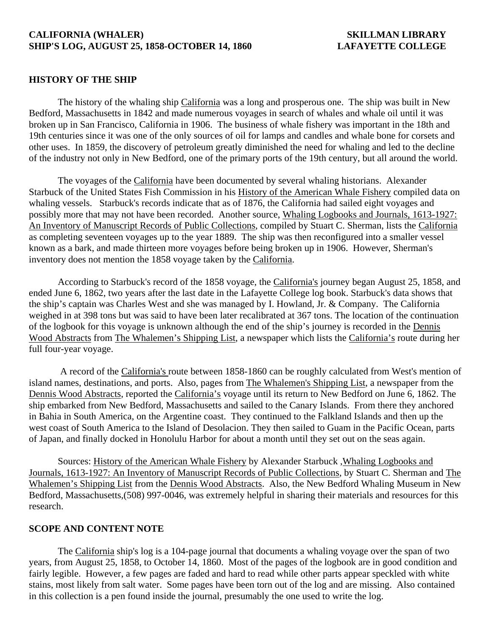## **CALIFORNIA (WHALER) SKILLMAN LIBRARY SHIP'S LOG, AUGUST 25, 1858-OCTOBER 14, 1860 LAFAYETTE COLLEGE**

## **HISTORY OF THE SHIP**

 The history of the whaling ship California was a long and prosperous one. The ship was built in New Bedford, Massachusetts in 1842 and made numerous voyages in search of whales and whale oil until it was broken up in San Francisco, California in 1906. The business of whale fishery was important in the 18th and 19th centuries since it was one of the only sources of oil for lamps and candles and whale bone for corsets and other uses. In 1859, the discovery of petroleum greatly diminished the need for whaling and led to the decline of the industry not only in New Bedford, one of the primary ports of the 19th century, but all around the world.

 The voyages of the California have been documented by several whaling historians. Alexander Starbuck of the United States Fish Commission in his History of the American Whale Fishery compiled data on whaling vessels. Starbuck's records indicate that as of 1876, the California had sailed eight voyages and possibly more that may not have been recorded. Another source, Whaling Logbooks and Journals, 1613-1927: An Inventory of Manuscript Records of Public Collections, compiled by Stuart C. Sherman, lists the California as completing seventeen voyages up to the year 1889. The ship was then reconfigured into a smaller vessel known as a bark, and made thirteen more voyages before being broken up in 1906. However, Sherman's inventory does not mention the 1858 voyage taken by the California.

 According to Starbuck's record of the 1858 voyage, the California's journey began August 25, 1858, and ended June 6, 1862, two years after the last date in the Lafayette College log book. Starbuck's data shows that the ship's captain was Charles West and she was managed by I. Howland, Jr. & Company. The California weighed in at 398 tons but was said to have been later recalibrated at 367 tons. The location of the continuation of the logbook for this voyage is unknown although the end of the ship's journey is recorded in the Dennis Wood Abstracts from The Whalemen's Shipping List, a newspaper which lists the California's route during her full four-year voyage.

 A record of the California's route between 1858-1860 can be roughly calculated from West's mention of island names, destinations, and ports. Also, pages from The Whalemen's Shipping List, a newspaper from the Dennis Wood Abstracts, reported the California's voyage until its return to New Bedford on June 6, 1862. The ship embarked from New Bedford, Massachusetts and sailed to the Canary Islands. From there they anchored in Bahia in South America, on the Argentine coast. They continued to the Falkland Islands and then up the west coast of South America to the Island of Desolacion. They then sailed to Guam in the Pacific Ocean, parts of Japan, and finally docked in Honolulu Harbor for about a month until they set out on the seas again.

Sources: History of the American Whale Fishery by Alexander Starbuck ,Whaling Logbooks and Journals, 1613-1927: An Inventory of Manuscript Records of Public Collections, by Stuart C. Sherman and The Whalemen's Shipping List from the Dennis Wood Abstracts. Also, the New Bedford Whaling Museum in New Bedford, Massachusetts,(508) 997-0046, was extremely helpful in sharing their materials and resources for this research.

### **SCOPE AND CONTENT NOTE**

 The California ship's log is a 104-page journal that documents a whaling voyage over the span of two years, from August 25, 1858, to October 14, 1860. Most of the pages of the logbook are in good condition and fairly legible. However, a few pages are faded and hard to read while other parts appear speckled with white stains, most likely from salt water. Some pages have been torn out of the log and are missing. Also contained in this collection is a pen found inside the journal, presumably the one used to write the log.